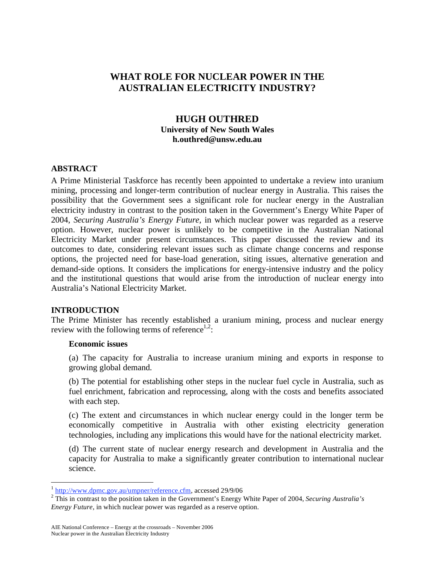# **WHAT ROLE FOR NUCLEAR POWER IN THE AUSTRALIAN ELECTRICITY INDUSTRY?**

### **HUGH OUTHRED University of New South Wales h.outhred@unsw.edu.au**

#### **ABSTRACT**

A Prime Ministerial Taskforce has recently been appointed to undertake a review into uranium mining, processing and longer-term contribution of nuclear energy in Australia. This raises the possibility that the Government sees a significant role for nuclear energy in the Australian electricity industry in contrast to the position taken in the Government's Energy White Paper of 2004, *Securing Australia's Energy Future,* in which nuclear power was regarded as a reserve option. However, nuclear power is unlikely to be competitive in the Australian National Electricity Market under present circumstances. This paper discussed the review and its outcomes to date, considering relevant issues such as climate change concerns and response options, the projected need for base-load generation, siting issues, alternative generation and demand-side options. It considers the implications for energy-intensive industry and the policy and the institutional questions that would arise from the introduction of nuclear energy into Australia's National Electricity Market.

#### **INTRODUCTION**

 $\overline{a}$ 

The Prime Minister has recently established a uranium mining, process and nuclear energy review with the following terms of reference<sup>1,2</sup>:

### **Economic issues**

(a) The capacity for Australia to increase uranium mining and exports in response to growing global demand.

(b) The potential for establishing other steps in the nuclear fuel cycle in Australia, such as fuel enrichment, fabrication and reprocessing, along with the costs and benefits associated with each step.

(c) The extent and circumstances in which nuclear energy could in the longer term be economically competitive in Australia with other existing electricity generation technologies, including any implications this would have for the national electricity market.

(d) The current state of nuclear energy research and development in Australia and the capacity for Australia to make a significantly greater contribution to international nuclear science.

<sup>1</sup> http://www.dpmc.gov.au/umpner/reference.cfm, accessed 29/9/06 2

<sup>&</sup>lt;sup>2</sup> This in contrast to the position taken in the Government's Energy White Paper of 2004, *Securing Australia's Energy Future,* in which nuclear power was regarded as a reserve option.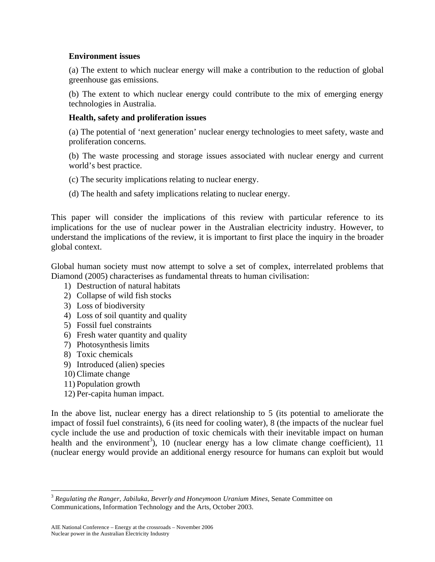#### **Environment issues**

(a) The extent to which nuclear energy will make a contribution to the reduction of global greenhouse gas emissions.

(b) The extent to which nuclear energy could contribute to the mix of emerging energy technologies in Australia.

### **Health, safety and proliferation issues**

(a) The potential of 'next generation' nuclear energy technologies to meet safety, waste and proliferation concerns.

(b) The waste processing and storage issues associated with nuclear energy and current world's best practice.

- (c) The security implications relating to nuclear energy.
- (d) The health and safety implications relating to nuclear energy.

This paper will consider the implications of this review with particular reference to its implications for the use of nuclear power in the Australian electricity industry. However, to understand the implications of the review, it is important to first place the inquiry in the broader global context.

Global human society must now attempt to solve a set of complex, interrelated problems that Diamond (2005) characterises as fundamental threats to human civilisation:

- 1) Destruction of natural habitats
- 2) Collapse of wild fish stocks
- 3) Loss of biodiversity
- 4) Loss of soil quantity and quality
- 5) Fossil fuel constraints
- 6) Fresh water quantity and quality
- 7) Photosynthesis limits
- 8) Toxic chemicals
- 9) Introduced (alien) species
- 10) Climate change

 $\overline{a}$ 

- 11) Population growth
- 12) Per-capita human impact.

In the above list, nuclear energy has a direct relationship to 5 (its potential to ameliorate the impact of fossil fuel constraints), 6 (its need for cooling water), 8 (the impacts of the nuclear fuel cycle include the use and production of toxic chemicals with their inevitable impact on human health and the environment<sup>3</sup>), 10 (nuclear energy has a low climate change coefficient), 11 (nuclear energy would provide an additional energy resource for humans can exploit but would

<sup>3</sup> *Regulating the Ranger, Jabiluka, Beverly and Honeymoon Uranium Mines,* Senate Committee on Communications, Information Technology and the Arts, October 2003.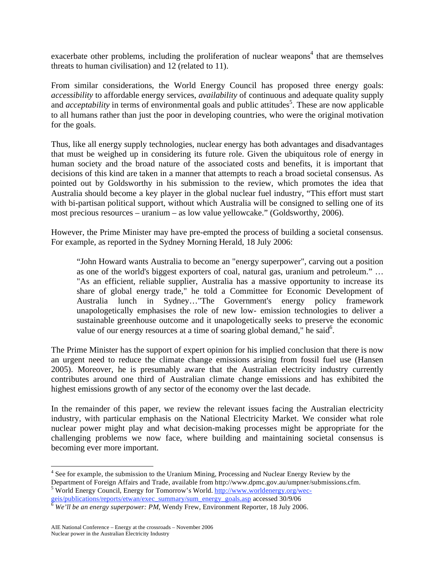exacerbate other problems, including the proliferation of nuclear weapons<sup>4</sup> that are themselves threats to human civilisation) and 12 (related to 11).

From similar considerations, the World Energy Council has proposed three energy goals: *accessibility* to affordable energy services, *availability* of continuous and adequate quality supply and *acceptability* in terms of environmental goals and public attitudes<sup>5</sup>. These are now applicable to all humans rather than just the poor in developing countries, who were the original motivation for the goals.

Thus, like all energy supply technologies, nuclear energy has both advantages and disadvantages that must be weighed up in considering its future role. Given the ubiquitous role of energy in human society and the broad nature of the associated costs and benefits, it is important that decisions of this kind are taken in a manner that attempts to reach a broad societal consensus. As pointed out by Goldsworthy in his submission to the review, which promotes the idea that Australia should become a key player in the global nuclear fuel industry, "This effort must start with bi-partisan political support, without which Australia will be consigned to selling one of its most precious resources – uranium – as low value yellowcake." (Goldsworthy, 2006).

However, the Prime Minister may have pre-empted the process of building a societal consensus. For example, as reported in the Sydney Morning Herald, 18 July 2006:

"John Howard wants Australia to become an "energy superpower", carving out a position as one of the world's biggest exporters of coal, natural gas, uranium and petroleum." … "As an efficient, reliable supplier, Australia has a massive opportunity to increase its share of global energy trade," he told a Committee for Economic Development of Australia lunch in Sydney…"The Government's energy policy framework unapologetically emphasises the role of new low- emission technologies to deliver a sustainable greenhouse outcome and it unapologetically seeks to preserve the economic value of our energy resources at a time of soaring global demand," he said<sup>6</sup>.

The Prime Minister has the support of expert opinion for his implied conclusion that there is now an urgent need to reduce the climate change emissions arising from fossil fuel use (Hansen 2005). Moreover, he is presumably aware that the Australian electricity industry currently contributes around one third of Australian climate change emissions and has exhibited the highest emissions growth of any sector of the economy over the last decade.

In the remainder of this paper, we review the relevant issues facing the Australian electricity industry, with particular emphasis on the National Electricity Market. We consider what role nuclear power might play and what decision-making processes might be appropriate for the challenging problems we now face, where building and maintaining societal consensus is becoming ever more important.

<sup>&</sup>lt;sup>4</sup> See for example, the submission to the Uranium Mining, Processing and Nuclear Energy Review by the Department of Foreign Affairs and Trade, available from http://www.dpmc.gov.au/umpner/submissions.cfm. <sup>5</sup> World Energy Council, Energy for Tomorrow's World. http://www.worldenergy.org/wec-

geis/publications/reports/etwan/exec\_summary/sum\_energy\_goals.asp accessed 30/9/06 <sup>6</sup> *We'll be an energy superpower: PM,* Wendy Frew, Environment Reporter, 18 July 2006.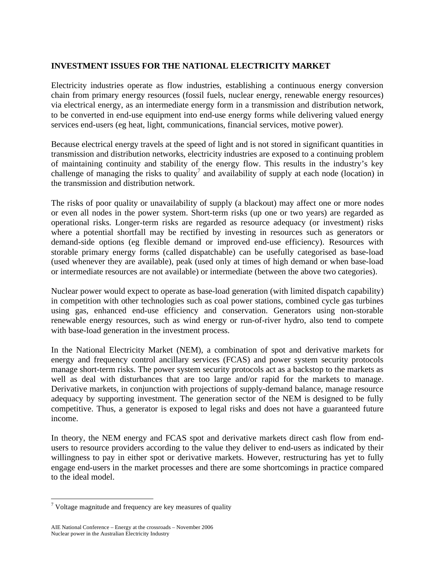### **INVESTMENT ISSUES FOR THE NATIONAL ELECTRICITY MARKET**

Electricity industries operate as flow industries, establishing a continuous energy conversion chain from primary energy resources (fossil fuels, nuclear energy, renewable energy resources) via electrical energy, as an intermediate energy form in a transmission and distribution network, to be converted in end-use equipment into end-use energy forms while delivering valued energy services end-users (eg heat, light, communications, financial services, motive power).

Because electrical energy travels at the speed of light and is not stored in significant quantities in transmission and distribution networks, electricity industries are exposed to a continuing problem of maintaining continuity and stability of the energy flow. This results in the industry's key challenge of managing the risks to quality<sup>7</sup> and availability of supply at each node (location) in the transmission and distribution network.

The risks of poor quality or unavailability of supply (a blackout) may affect one or more nodes or even all nodes in the power system. Short-term risks (up one or two years) are regarded as operational risks. Longer-term risks are regarded as resource adequacy (or investment) risks where a potential shortfall may be rectified by investing in resources such as generators or demand-side options (eg flexible demand or improved end-use efficiency). Resources with storable primary energy forms (called dispatchable) can be usefully categorised as base-load (used whenever they are available), peak (used only at times of high demand or when base-load or intermediate resources are not available) or intermediate (between the above two categories).

Nuclear power would expect to operate as base-load generation (with limited dispatch capability) in competition with other technologies such as coal power stations, combined cycle gas turbines using gas, enhanced end-use efficiency and conservation. Generators using non-storable renewable energy resources, such as wind energy or run-of-river hydro, also tend to compete with base-load generation in the investment process.

In the National Electricity Market (NEM), a combination of spot and derivative markets for energy and frequency control ancillary services (FCAS) and power system security protocols manage short-term risks. The power system security protocols act as a backstop to the markets as well as deal with disturbances that are too large and/or rapid for the markets to manage. Derivative markets, in conjunction with projections of supply-demand balance, manage resource adequacy by supporting investment. The generation sector of the NEM is designed to be fully competitive. Thus, a generator is exposed to legal risks and does not have a guaranteed future income.

In theory, the NEM energy and FCAS spot and derivative markets direct cash flow from endusers to resource providers according to the value they deliver to end-users as indicated by their willingness to pay in either spot or derivative markets. However, restructuring has yet to fully engage end-users in the market processes and there are some shortcomings in practice compared to the ideal model.

 $\overline{a}$ 

 $\sigma$ <sup>7</sup> Voltage magnitude and frequency are key measures of quality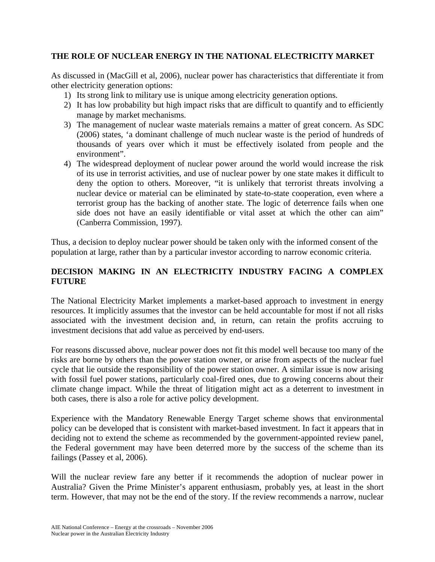### **THE ROLE OF NUCLEAR ENERGY IN THE NATIONAL ELECTRICITY MARKET**

As discussed in (MacGill et al, 2006), nuclear power has characteristics that differentiate it from other electricity generation options:

- 1) Its strong link to military use is unique among electricity generation options.
- 2) It has low probability but high impact risks that are difficult to quantify and to efficiently manage by market mechanisms.
- 3) The management of nuclear waste materials remains a matter of great concern. As SDC (2006) states, 'a dominant challenge of much nuclear waste is the period of hundreds of thousands of years over which it must be effectively isolated from people and the environment".
- 4) The widespread deployment of nuclear power around the world would increase the risk of its use in terrorist activities, and use of nuclear power by one state makes it difficult to deny the option to others. Moreover, "it is unlikely that terrorist threats involving a nuclear device or material can be eliminated by state-to-state cooperation, even where a terrorist group has the backing of another state. The logic of deterrence fails when one side does not have an easily identifiable or vital asset at which the other can aim" (Canberra Commission, 1997).

Thus, a decision to deploy nuclear power should be taken only with the informed consent of the population at large, rather than by a particular investor according to narrow economic criteria.

## **DECISION MAKING IN AN ELECTRICITY INDUSTRY FACING A COMPLEX FUTURE**

The National Electricity Market implements a market-based approach to investment in energy resources. It implicitly assumes that the investor can be held accountable for most if not all risks associated with the investment decision and, in return, can retain the profits accruing to investment decisions that add value as perceived by end-users.

For reasons discussed above, nuclear power does not fit this model well because too many of the risks are borne by others than the power station owner, or arise from aspects of the nuclear fuel cycle that lie outside the responsibility of the power station owner. A similar issue is now arising with fossil fuel power stations, particularly coal-fired ones, due to growing concerns about their climate change impact. While the threat of litigation might act as a deterrent to investment in both cases, there is also a role for active policy development.

Experience with the Mandatory Renewable Energy Target scheme shows that environmental policy can be developed that is consistent with market-based investment. In fact it appears that in deciding not to extend the scheme as recommended by the government-appointed review panel, the Federal government may have been deterred more by the success of the scheme than its failings (Passey et al, 2006).

Will the nuclear review fare any better if it recommends the adoption of nuclear power in Australia? Given the Prime Minister's apparent enthusiasm, probably yes, at least in the short term. However, that may not be the end of the story. If the review recommends a narrow, nuclear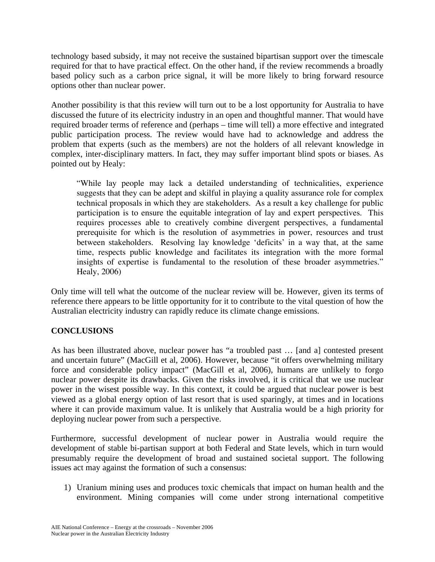technology based subsidy, it may not receive the sustained bipartisan support over the timescale required for that to have practical effect. On the other hand, if the review recommends a broadly based policy such as a carbon price signal, it will be more likely to bring forward resource options other than nuclear power.

Another possibility is that this review will turn out to be a lost opportunity for Australia to have discussed the future of its electricity industry in an open and thoughtful manner. That would have required broader terms of reference and (perhaps – time will tell) a more effective and integrated public participation process. The review would have had to acknowledge and address the problem that experts (such as the members) are not the holders of all relevant knowledge in complex, inter-disciplinary matters. In fact, they may suffer important blind spots or biases. As pointed out by Healy:

"While lay people may lack a detailed understanding of technicalities, experience suggests that they can be adept and skilful in playing a quality assurance role for complex technical proposals in which they are stakeholders. As a result a key challenge for public participation is to ensure the equitable integration of lay and expert perspectives. This requires processes able to creatively combine divergent perspectives, a fundamental prerequisite for which is the resolution of asymmetries in power, resources and trust between stakeholders. Resolving lay knowledge 'deficits' in a way that, at the same time, respects public knowledge and facilitates its integration with the more formal insights of expertise is fundamental to the resolution of these broader asymmetries." Healy, 2006)

Only time will tell what the outcome of the nuclear review will be. However, given its terms of reference there appears to be little opportunity for it to contribute to the vital question of how the Australian electricity industry can rapidly reduce its climate change emissions.

### **CONCLUSIONS**

As has been illustrated above, nuclear power has "a troubled past … [and a] contested present and uncertain future" (MacGill et al, 2006). However, because "it offers overwhelming military force and considerable policy impact" (MacGill et al, 2006), humans are unlikely to forgo nuclear power despite its drawbacks. Given the risks involved, it is critical that we use nuclear power in the wisest possible way. In this context, it could be argued that nuclear power is best viewed as a global energy option of last resort that is used sparingly, at times and in locations where it can provide maximum value. It is unlikely that Australia would be a high priority for deploying nuclear power from such a perspective.

Furthermore, successful development of nuclear power in Australia would require the development of stable bi-partisan support at both Federal and State levels, which in turn would presumably require the development of broad and sustained societal support. The following issues act may against the formation of such a consensus:

1) Uranium mining uses and produces toxic chemicals that impact on human health and the environment. Mining companies will come under strong international competitive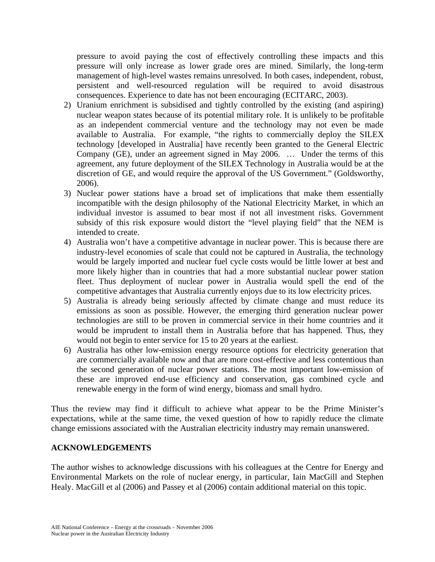pressure to avoid paying the cost of effectively controlling these impacts and this pressure will only increase as lower grade ores are mined. Similarly, the long-term management of high-level wastes remains unresolved. In both cases, independent, robust, persistent and well-resourced regulation will be required to avoid disastrous consequences. Experience to date has not been encouraging (ECITARC, 2003).

- 2) Uranium enrichment is subsidised and tightly controlled by the existing (and aspiring) nuclear weapon states because of its potential military role. It is unlikely to be profitable as an independent commercial venture and the technology may not even be made available to Australia. For example, "the rights to commercially deploy the SILEX technology [developed in Australia] have recently been granted to the General Electric Company (GE), under an agreement signed in May 2006. … Under the terms of this agreement, any future deployment of the SILEX Technology in Australia would be at the discretion of GE, and would require the approval of the US Government." (Goldsworthy, 2006).
- 3) Nuclear power stations have a broad set of implications that make them essentially incompatible with the design philosophy of the National Electricity Market, in which an individual investor is assumed to bear most if not all investment risks. Government subsidy of this risk exposure would distort the "level playing field" that the NEM is intended to create.
- 4) Australia won't have a competitive advantage in nuclear power. This is because there are industry-level economies of scale that could not be captured in Australia, the technology would be largely imported and nuclear fuel cycle costs would be little lower at best and more likely higher than in countries that had a more substantial nuclear power station fleet. Thus deployment of nuclear power in Australia would spell the end of the competitive advantages that Australia currently enjoys due to its low electricity prices.
- 5) Australia is already being seriously affected by climate change and must reduce its emissions as soon as possible. However, the emerging third generation nuclear power technologies are still to be proven in commercial service in their home countries and it would be imprudent to install them in Australia before that has happened. Thus, they would not begin to enter service for 15 to 20 years at the earliest.
- 6) Australia has other low-emission energy resource options for electricity generation that are commercially available now and that are more cost-effective and less contentious than the second generation of nuclear power stations. The most important low-emission of these are improved end-use efficiency and conservation, gas combined cycle and renewable energy in the form of wind energy, biomass and small hydro.

Thus the review may find it difficult to achieve what appear to be the Prime Minister's expectations, while at the same time, the vexed question of how to rapidly reduce the climate change emissions associated with the Australian electricity industry may remain unanswered.

#### **ACKNOWLEDGEMENTS**

The author wishes to acknowledge discussions with his colleagues at the Centre for Energy and Environmental Markets on the role of nuclear energy, in particular, Iain MacGill and Stephen Healy. MacGill et al (2006) and Passey et al (2006) contain additional material on this topic.